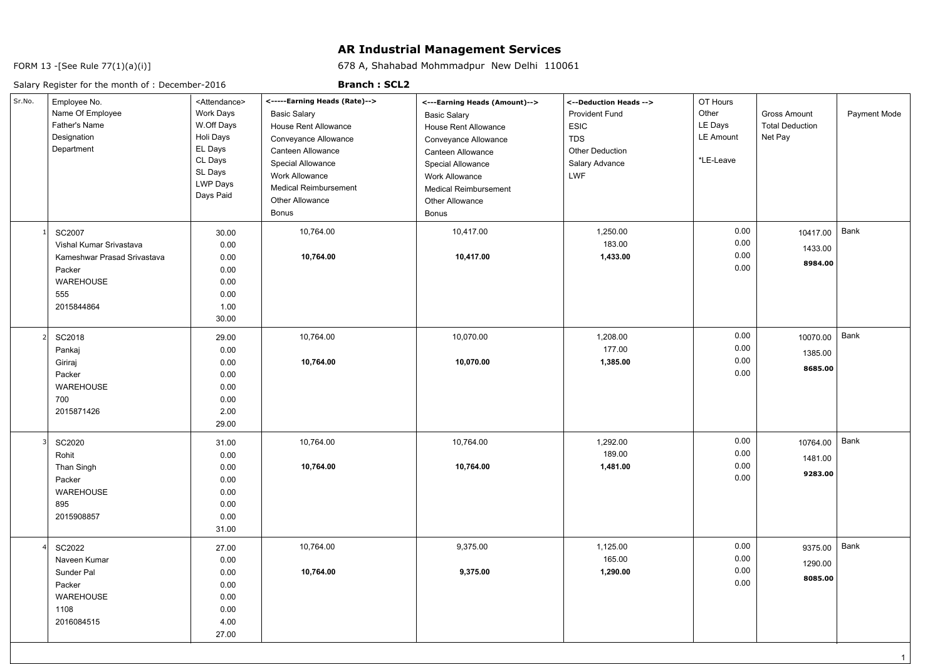## **AR Industrial Management Services**

678 A, Shahabad Mohmmadpur New Delhi 110061

FORM 13 -[See Rule 77(1)(a)(i)]

## Salary Register for the month of : December-2016

## **Branch : SCL2**

| Sr.No. | Employee No.<br>Name Of Employee<br>Father's Name<br>Designation<br>Department                                      | <attendance><br/>Work Days<br/>W.Off Days<br/>Holi Days<br/>EL Days<br/>CL Days<br/>SL Days<br/><b>LWP Days</b><br/>Days Paid</attendance> | <-----Earning Heads (Rate)--><br><b>Basic Salary</b><br>House Rent Allowance<br>Conveyance Allowance<br>Canteen Allowance<br><b>Special Allowance</b><br><b>Work Allowance</b><br><b>Medical Reimbursement</b><br>Other Allowance<br>Bonus | <---Earning Heads (Amount)--><br><b>Basic Salary</b><br>House Rent Allowance<br>Conveyance Allowance<br>Canteen Allowance<br>Special Allowance<br>Work Allowance<br><b>Medical Reimbursement</b><br>Other Allowance<br><b>Bonus</b> | <--Deduction Heads --><br><b>Provident Fund</b><br><b>ESIC</b><br><b>TDS</b><br><b>Other Deduction</b><br>Salary Advance<br><b>LWF</b> | OT Hours<br>Other<br>LE Days<br>LE Amount<br>*LE-Leave | Gross Amount<br><b>Total Deduction</b><br>Net Pay | Payment Mode |
|--------|---------------------------------------------------------------------------------------------------------------------|--------------------------------------------------------------------------------------------------------------------------------------------|--------------------------------------------------------------------------------------------------------------------------------------------------------------------------------------------------------------------------------------------|-------------------------------------------------------------------------------------------------------------------------------------------------------------------------------------------------------------------------------------|----------------------------------------------------------------------------------------------------------------------------------------|--------------------------------------------------------|---------------------------------------------------|--------------|
|        | <b>SC2007</b><br>Vishal Kumar Srivastava<br>Kameshwar Prasad Srivastava<br>Packer<br>WAREHOUSE<br>555<br>2015844864 | 30.00<br>0.00<br>0.00<br>0.00<br>0.00<br>0.00<br>1.00<br>30.00                                                                             | 10,764.00<br>10,764.00                                                                                                                                                                                                                     | 10,417.00<br>10,417.00                                                                                                                                                                                                              | 1,250.00<br>183.00<br>1,433.00                                                                                                         | 0.00<br>0.00<br>0.00<br>0.00                           | 10417.00<br>1433.00<br>8984.00                    | Bank         |
|        | SC2018<br>Pankaj<br>Giriraj<br>Packer<br>WAREHOUSE<br>700<br>2015871426                                             | 29.00<br>0.00<br>0.00<br>0.00<br>0.00<br>0.00<br>2.00<br>29.00                                                                             | 10,764.00<br>10,764.00                                                                                                                                                                                                                     | 10,070.00<br>10,070.00                                                                                                                                                                                                              | 1,208.00<br>177.00<br>1,385.00                                                                                                         | 0.00<br>0.00<br>0.00<br>0.00                           | 10070.00<br>1385.00<br>8685.00                    | Bank         |
|        | SC2020<br>Rohit<br>Than Singh<br>Packer<br>WAREHOUSE<br>895<br>2015908857                                           | 31.00<br>0.00<br>0.00<br>0.00<br>0.00<br>0.00<br>0.00<br>31.00                                                                             | 10,764.00<br>10,764.00                                                                                                                                                                                                                     | 10,764.00<br>10,764.00                                                                                                                                                                                                              | 1,292.00<br>189.00<br>1,481.00                                                                                                         | 0.00<br>0.00<br>0.00<br>0.00                           | 10764.00<br>1481.00<br>9283.00                    | Bank         |
|        | SC2022<br>Naveen Kumar<br>Sunder Pal<br>Packer<br>WAREHOUSE<br>1108<br>2016084515                                   | 27.00<br>0.00<br>0.00<br>0.00<br>0.00<br>0.00<br>4.00<br>27.00                                                                             | 10,764.00<br>10,764.00                                                                                                                                                                                                                     | 9,375.00<br>9,375.00                                                                                                                                                                                                                | 1,125.00<br>165.00<br>1,290.00                                                                                                         | 0.00<br>0.00<br>0.00<br>0.00                           | 9375.00<br>1290.00<br>8085.00                     | Bank         |

1